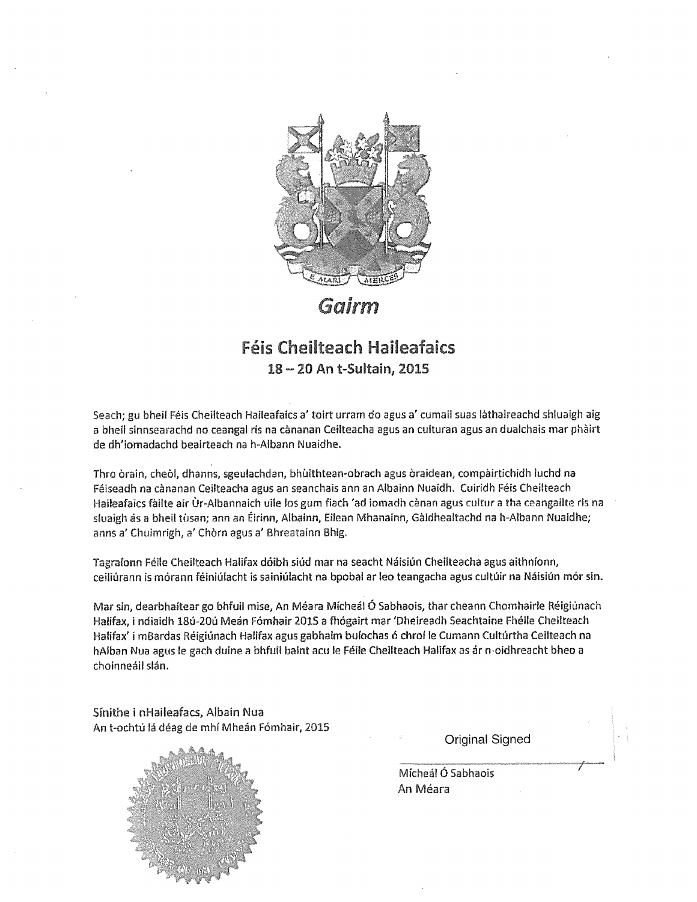

Gairm

## **Féis Cheilteach Haileafaics** 18 - 20 An t-Sultain, 2015

Seach; gu bheil Féis Cheilteach Haileafaics a' toirt urram do agus a' cumail suas làthaireachd shluaigh aig <sup>a</sup> bheil sinnsearachd no ceangal ris na cànanan Ceilteacha agus an culturan agus an dualchais mar phàirt de dh'iomadachd beairteach na h~AIbann Nuaidhe.

Thro òrain, cheòl, dhanns, sgeulachdan, bhùithtean-obrach agus òraidean, compàirtichidh luchd na Féiseadh na cànanan Ceilteacha agus an seanchais ann an Albainn Nuaidh. Cuiridh Féis Cheilteach Haileafaics fàilte air Ur-Albannaich ulle Ins gum fiach 'ad iomadh cànan agus cultur <sup>a</sup> tha ceangailte ris na sluaigh ás a bheil tùsan; ann an Éirinn, Albainn, Eilean Mhanainn, Gàidhealtachd na h-Albann Nuaidhe; anns a' Chuimrigh, a' Chòrn agus a' Bhreatainn Bhig.

Tagraíonn Féile Cheilteach Halifax dóibh siúd mar na seacht Náisiún Cheilteacha agus aithníonn, ceiliúrann is mórann féiniúlacht is sainiúlacht na bpobal ar leo teangacha agus cultúir na Náisiún mór sin.

Mar sin, dearbhaftear go bhfuil mise, An Méara MIcheál O Sabhaois, thar cheann Chomhairle Réigiünach Halifax, i ndiaidh 18ú-20ú Meán Fómhair 2015 a fhógairt mar 'Dheireadh Seachtaine Fhéile Cheilteach Halifax' i mBardas Réigiúnach Halifax agus gabhaim buíochas ó chroí le Cumann Cultúrtha Ceilteach na hAlban Nua agus le gach duine a bhfuil baint acu le Féile Cheilteach Halifax as ár n-oidhreacht bheo a choinneáil slán.

Sínithe i nHaileafacs, Albain Nua An t-ochtú lá déag de mhí Mheán Fómhair, 2015



Original Signed

Mícheál Ó Sabhaois An Méara